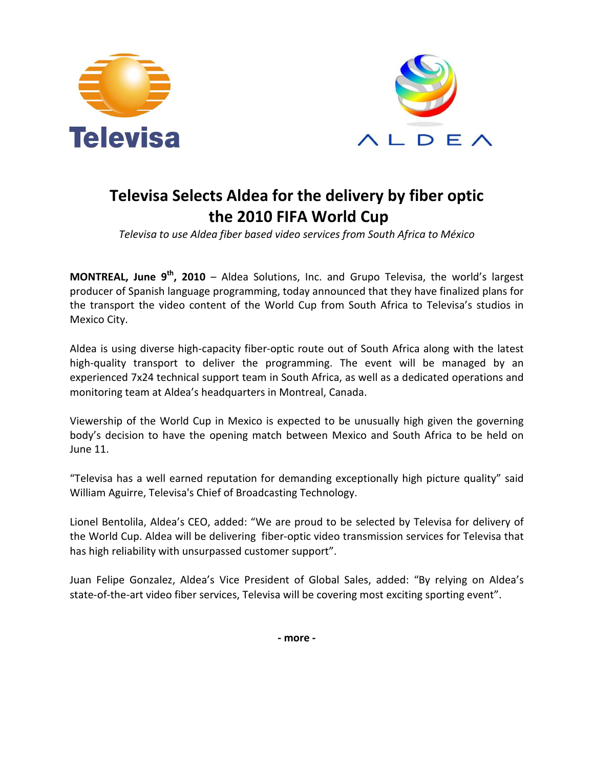



## **Televisa Selects Aldea for the delivery by fiber optic the 2010 FIFA World Cup**

*Televisa to use Aldea fiber based video services from South Africa to México* 

**MONTREAL, June 9th, 2010** – Aldea Solutions, Inc. and Grupo Televisa, the world's largest producer of Spanish language programming, today announced that they have finalized plans for the transport the video content of the World Cup from South Africa to Televisa's studios in Mexico City.

Aldea is using diverse high-capacity fiber-optic route out of South Africa along with the latest high-quality transport to deliver the programming. The event will be managed by an experienced 7x24 technical support team in South Africa, as well as a dedicated operations and monitoring team at Aldea's headquarters in Montreal, Canada.

Viewership of the World Cup in Mexico is expected to be unusually high given the governing body's decision to have the opening match between Mexico and South Africa to be held on June 11.

"Televisa has a well earned reputation for demanding exceptionally high picture quality" said William Aguirre, Televisa's Chief of Broadcasting Technology.

Lionel Bentolila, Aldea's CEO, added: "We are proud to be selected by Televisa for delivery of the World Cup. Aldea will be delivering fiber-optic video transmission services for Televisa that has high reliability with unsurpassed customer support".

Juan Felipe Gonzalez, Aldea's Vice President of Global Sales, added: "By relying on Aldea's state-of-the-art video fiber services, Televisa will be covering most exciting sporting event".

**- more -**